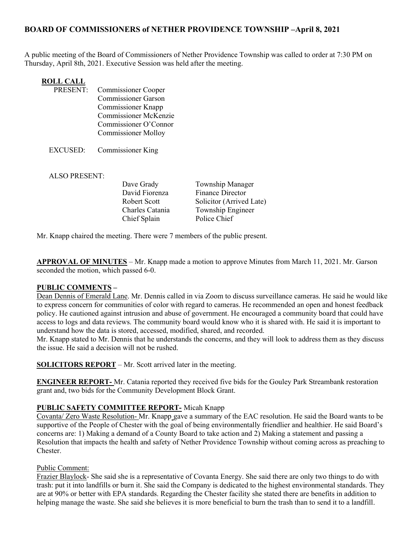# BOARD OF COMMISSIONERS of NETHER PROVIDENCE TOWNSHIP –April 8, 2021

A public meeting of the Board of Commissioners of Nether Providence Township was called to order at 7:30 PM on Thursday, April 8th, 2021. Executive Session was held after the meeting.

- PRESENT: Commissioner Cooper Commissioner Garson Commissioner Knapp Commissioner McKenzie Commissioner O'Connor Commissioner Molloy
- EXCUSED: Commissioner King

#### ALSO PRESENT:

David Fiorenza Finance Director Chief Splain Police Chief

Dave Grady Township Manager Robert Scott Solicitor (Arrived Late) Charles Catania Township Engineer

Mr. Knapp chaired the meeting. There were 7 members of the public present.

APPROVAL OF MINUTES – Mr. Knapp made a motion to approve Minutes from March 11, 2021. Mr. Garson seconded the motion, which passed 6-0.

## PUBLIC COMMENTS –

Dean Dennis of Emerald Lane. Mr. Dennis called in via Zoom to discuss surveillance cameras. He said he would like to express concern for communities of color with regard to cameras. He recommended an open and honest feedback policy. He cautioned against intrusion and abuse of government. He encouraged a community board that could have access to logs and data reviews. The community board would know who it is shared with. He said it is important to understand how the data is stored, accessed, modified, shared, and recorded.

Mr. Knapp stated to Mr. Dennis that he understands the concerns, and they will look to address them as they discuss the issue. He said a decision will not be rushed.

SOLICITORS REPORT – Mr. Scott arrived later in the meeting.

ENGINEER REPORT- Mr. Catania reported they received five bids for the Gouley Park Streambank restoration grant and, two bids for the Community Development Block Grant.

## PUBLIC SAFETY COMMITTEE REPORT- Micah Knapp

Covanta/ Zero Waste Resolution- Mr. Knapp gave a summary of the EAC resolution. He said the Board wants to be supportive of the People of Chester with the goal of being environmentally friendlier and healthier. He said Board's concerns are: 1) Making a demand of a County Board to take action and 2) Making a statement and passing a Resolution that impacts the health and safety of Nether Providence Township without coming across as preaching to Chester.

#### Public Comment:

Frazier Blaylock- She said she is a representative of Covanta Energy. She said there are only two things to do with trash: put it into landfills or burn it. She said the Company is dedicated to the highest environmental standards. They are at 90% or better with EPA standards. Regarding the Chester facility she stated there are benefits in addition to helping manage the waste. She said she believes it is more beneficial to burn the trash than to send it to a landfill.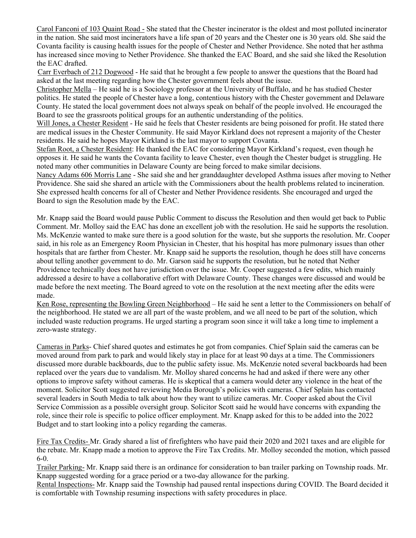Carol Fanconi of 103 Quaint Road - She stated that the Chester incinerator is the oldest and most polluted incinerator in the nation. She said most incinerators have a life span of 20 years and the Chester one is 30 years old. She said the Covanta facility is causing health issues for the people of Chester and Nether Providence. She noted that her asthma has increased since moving to Nether Providence. She thanked the EAC Board, and she said she liked the Resolution the EAC drafted.

Carr Everbach of 212 Dogwood - He said that he brought a few people to answer the questions that the Board had asked at the last meeting regarding how the Chester government feels about the issue.

Christopher Mella – He said he is a Sociology professor at the University of Buffalo, and he has studied Chester politics. He stated the people of Chester have a long, contentious history with the Chester government and Delaware County. He stated the local government does not always speak on behalf of the people involved. He encouraged the Board to see the grassroots political groups for an authentic understanding of the politics.

Will Jones, a Chester Resident - He said he feels that Chester residents are being poisoned for profit. He stated there are medical issues in the Chester Community. He said Mayor Kirkland does not represent a majority of the Chester residents. He said he hopes Mayor Kirkland is the last mayor to support Covanta.

Stefan Root, a Chester Resident: He thanked the EAC for considering Mayor Kirkland's request, even though he opposes it. He said he wants the Covanta facility to leave Chester, even though the Chester budget is struggling. He noted many other communities in Delaware County are being forced to make similar decisions.

Nancy Adams 606 Morris Lane - She said she and her granddaughter developed Asthma issues after moving to Nether Providence. She said she shared an article with the Commissioners about the health problems related to incineration. She expressed health concerns for all of Chester and Nether Providence residents. She encouraged and urged the Board to sign the Resolution made by the EAC.

Mr. Knapp said the Board would pause Public Comment to discuss the Resolution and then would get back to Public Comment. Mr. Molloy said the EAC has done an excellent job with the resolution. He said he supports the resolution. Ms. McKenzie wanted to make sure there is a good solution for the waste, but she supports the resolution. Mr. Cooper said, in his role as an Emergency Room Physician in Chester, that his hospital has more pulmonary issues than other hospitals that are farther from Chester. Mr. Knapp said he supports the resolution, though he does still have concerns about telling another government to do. Mr. Garson said he supports the resolution, but he noted that Nether Providence technically does not have jurisdiction over the issue. Mr. Cooper suggested a few edits, which mainly addressed a desire to have a collaborative effort with Delaware County. These changes were discussed and would be made before the next meeting. The Board agreed to vote on the resolution at the next meeting after the edits were made.

Ken Rose, representing the Bowling Green Neighborhood – He said he sent a letter to the Commissioners on behalf of the neighborhood. He stated we are all part of the waste problem, and we all need to be part of the solution, which included waste reduction programs. He urged starting a program soon since it will take a long time to implement a zero-waste strategy.

Cameras in Parks- Chief shared quotes and estimates he got from companies. Chief Splain said the cameras can be moved around from park to park and would likely stay in place for at least 90 days at a time. The Commissioners discussed more durable backboards, due to the public safety issue. Ms. McKenzie noted several backboards had been replaced over the years due to vandalism. Mr. Molloy shared concerns he had and asked if there were any other options to improve safety without cameras. He is skeptical that a camera would deter any violence in the heat of the moment. Solicitor Scott suggested reviewing Media Borough's policies with cameras. Chief Splain has contacted several leaders in South Media to talk about how they want to utilize cameras. Mr. Cooper asked about the Civil Service Commission as a possible oversight group. Solicitor Scott said he would have concerns with expanding the role, since their role is specific to police officer employment. Mr. Knapp asked for this to be added into the 2022 Budget and to start looking into a policy regarding the cameras.

Fire Tax Credits- Mr. Grady shared a list of firefighters who have paid their 2020 and 2021 taxes and are eligible for the rebate. Mr. Knapp made a motion to approve the Fire Tax Credits. Mr. Molloy seconded the motion, which passed 6-0.

Trailer Parking- Mr. Knapp said there is an ordinance for consideration to ban trailer parking on Township roads. Mr. Knapp suggested wording for a grace period or a two-day allowance for the parking.

Rental Inspections- Mr. Knapp said the Township had paused rental inspections during COVID. The Board decided it is comfortable with Township resuming inspections with safety procedures in place.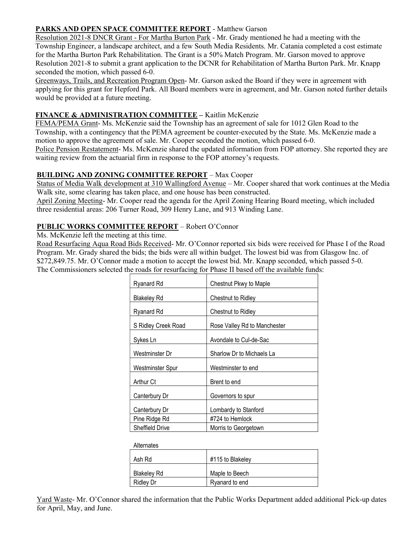## PARKS AND OPEN SPACE COMMITTEE REPORT - Matthew Garson

Resolution 2021-8 DNCR Grant - For Martha Burton Park - Mr. Grady mentioned he had a meeting with the Township Engineer, a landscape architect, and a few South Media Residents. Mr. Catania completed a cost estimate for the Martha Burton Park Rehabilitation. The Grant is a 50% Match Program. Mr. Garson moved to approve Resolution 2021-8 to submit a grant application to the DCNR for Rehabilitation of Martha Burton Park. Mr. Knapp seconded the motion, which passed 6-0.

Greenways, Trails, and Recreation Program Open- Mr. Garson asked the Board if they were in agreement with applying for this grant for Hepford Park. All Board members were in agreement, and Mr. Garson noted further details would be provided at a future meeting.

## FINANCE & ADMINISTRATION COMMITTEE - Kaitlin McKenzie

FEMA/PEMA Grant- Ms. McKenzie said the Township has an agreement of sale for 1012 Glen Road to the Township, with a contingency that the PEMA agreement be counter-executed by the State. Ms. McKenzie made a motion to approve the agreement of sale. Mr. Cooper seconded the motion, which passed 6-0. Police Pension Restatement- Ms. McKenzie shared the updated information from FOP attorney. She reported they are

waiting review from the actuarial firm in response to the FOP attorney's requests.

## BUILDING AND ZONING COMMITTEE REPORT – Max Cooper

Status of Media Walk development at 310 Wallingford Avenue – Mr. Cooper shared that work continues at the Media Walk site, some clearing has taken place, and one house has been constructed.

April Zoning Meeting- Mr. Cooper read the agenda for the April Zoning Hearing Board meeting, which included three residential areas: 206 Turner Road, 309 Henry Lane, and 913 Winding Lane.

## PUBLIC WORKS COMMITTEE REPORT – Robert O'Connor

Ms. McKenzie left the meeting at this time.

Road Resurfacing Aqua Road Bids Received- Mr. O'Connor reported six bids were received for Phase I of the Road Program. Mr. Grady shared the bids; the bids were all within budget. The lowest bid was from Glasgow Inc. of \$272,849.75. Mr. O'Connor made a motion to accept the lowest bid. Mr. Knapp seconded, which passed 5-0. The Commissioners selected the roads for resurfacing for Phase II based off the available funds:

| Ryanard Rd             | Chestnut Pkwy to Maple       |
|------------------------|------------------------------|
| <b>Blakelev Rd</b>     | Chestnut to Ridley           |
| Ryanard Rd             | Chestnut to Ridley           |
| S Ridley Creek Road    | Rose Valley Rd to Manchester |
| Sykes Ln               | Avondale to Cul-de-Sac       |
| Westminster Dr         | Sharlow Dr to Michaels La    |
| Westminster Spur       | Westminster to end           |
| Arthur Ct              | Brent to end                 |
| Canterbury Dr          | Governors to spur            |
| Canterbury Dr          | Lombardy to Stanford         |
| Pine Ridge Rd          | #724 to Hemlock              |
| <b>Sheffield Drive</b> | Morris to Georgetown         |

| <b>Alternates</b>  |                  |
|--------------------|------------------|
| Ash Rd             | #115 to Blakeley |
|                    |                  |
| <b>Blakeley Rd</b> | Maple to Beech   |
| <b>Ridley Dr</b>   | Ryanard to end   |